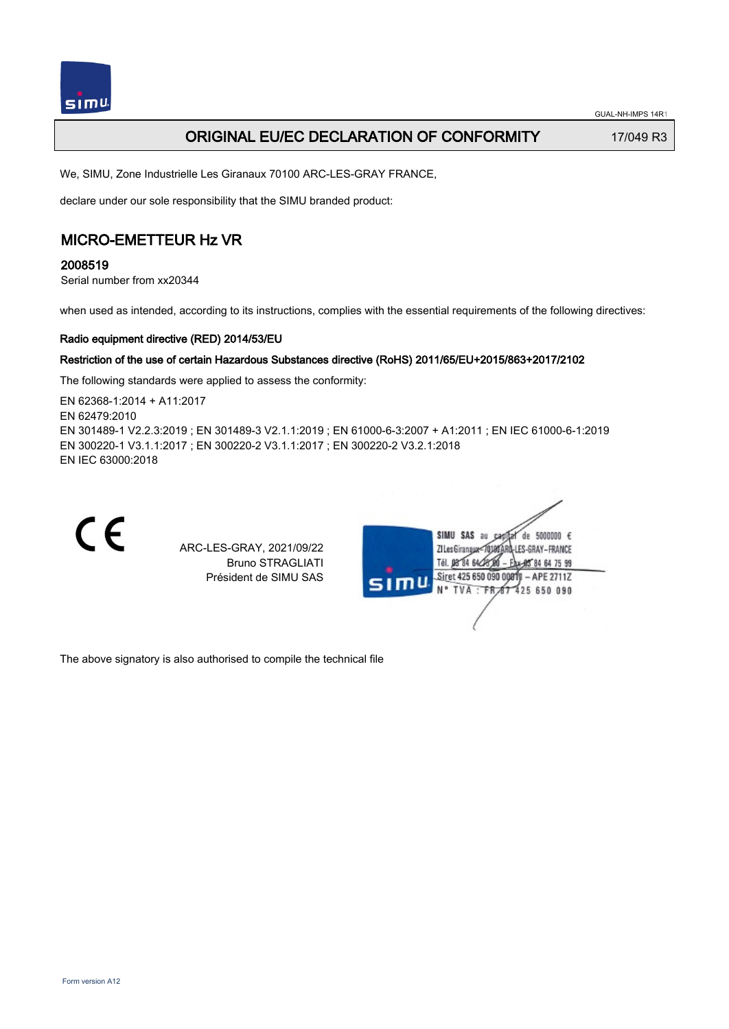

## **ORIGINAL EU/EC DECLARATION OF CONFORMITY** 17/049 R3

We, SIMU, Zone Industrielle Les Giranaux 70100 ARC-LES-GRAY FRANCE,

declare under our sole responsibility that the SIMU branded product:

## MICRO-EMETTEUR Hz VR

2008519

Serial number from xx20344

when used as intended, according to its instructions, complies with the essential requirements of the following directives:

### Radio equipment directive (RED) 2014/53/EU

### Restriction of the use of certain Hazardous Substances directive (RoHS) 2011/65/EU+2015/863+2017/2102

The following standards were applied to assess the conformity:

EN 62368‑1:2014 + A11:2017 EN 62479:2010 EN 301489‑1 V2.2.3:2019 ; EN 301489‑3 V2.1.1:2019 ; EN 61000‑6‑3:2007 + A1:2011 ; EN IEC 61000‑6‑1:2019 EN 300220‑1 V3.1.1:2017 ; EN 300220‑2 V3.1.1:2017 ; EN 300220‑2 V3.2.1:2018 EN IEC 63000:2018



ARC-LES-GRAY, 2021/09/22 Bruno STRAGLIATI Président de SIMU SAS



The above signatory is also authorised to compile the technical file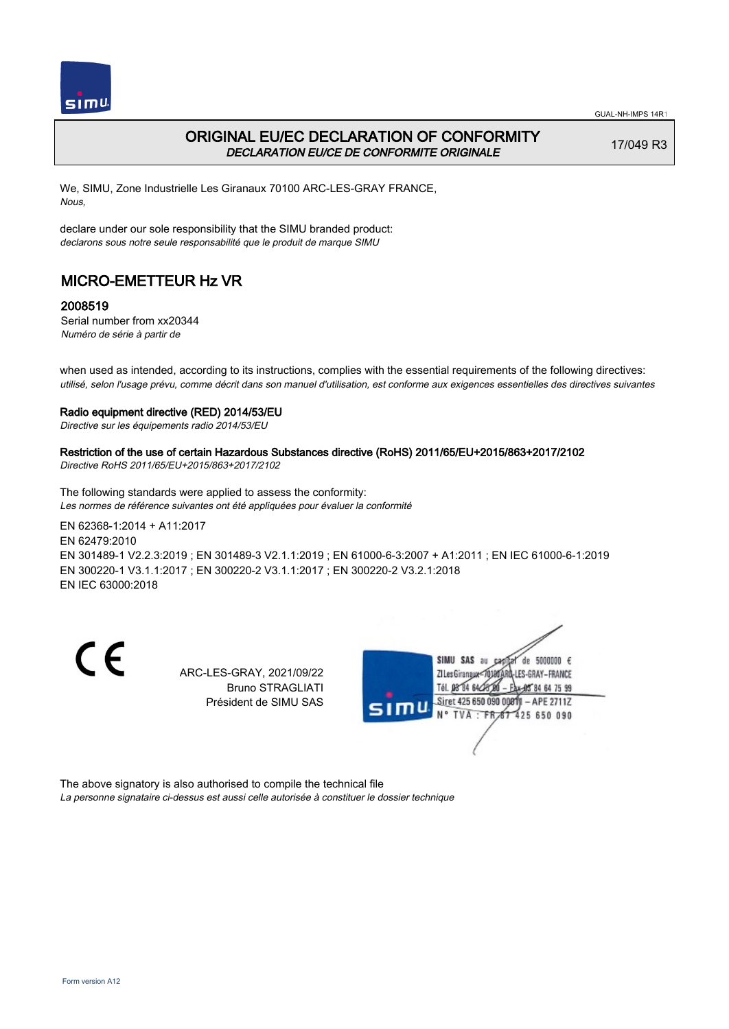

## ORIGINAL EU/EC DECLARATION OF CONFORMITY DECLARATION EU/CE DE CONFORMITE ORIGINALE

17/049 R3

We, SIMU, Zone Industrielle Les Giranaux 70100 ARC-LES-GRAY FRANCE, Nous,

declare under our sole responsibility that the SIMU branded product: declarons sous notre seule responsabilité que le produit de marque SIMU

# MICRO-EMETTEUR Hz VR

### 2008519

Serial number from xx20344 Numéro de série à partir de

when used as intended, according to its instructions, complies with the essential requirements of the following directives: utilisé, selon l'usage prévu, comme décrit dans son manuel d'utilisation, est conforme aux exigences essentielles des directives suivantes

#### Radio equipment directive (RED) 2014/53/EU

Directive sur les équipements radio 2014/53/EU

### Restriction of the use of certain Hazardous Substances directive (RoHS) 2011/65/EU+2015/863+2017/2102

Directive RoHS 2011/65/EU+2015/863+2017/2102

The following standards were applied to assess the conformity: Les normes de référence suivantes ont été appliquées pour évaluer la conformité

EN 62368‑1:2014 + A11:2017 EN 62479:2010 EN 301489‑1 V2.2.3:2019 ; EN 301489‑3 V2.1.1:2019 ; EN 61000‑6‑3:2007 + A1:2011 ; EN IEC 61000‑6‑1:2019 EN 300220‑1 V3.1.1:2017 ; EN 300220‑2 V3.1.1:2017 ; EN 300220‑2 V3.2.1:2018 EN IEC 63000:2018

C E

ARC-LES-GRAY, 2021/09/22 Bruno STRAGLIATI Président de SIMU SAS



The above signatory is also authorised to compile the technical file

La personne signataire ci-dessus est aussi celle autorisée à constituer le dossier technique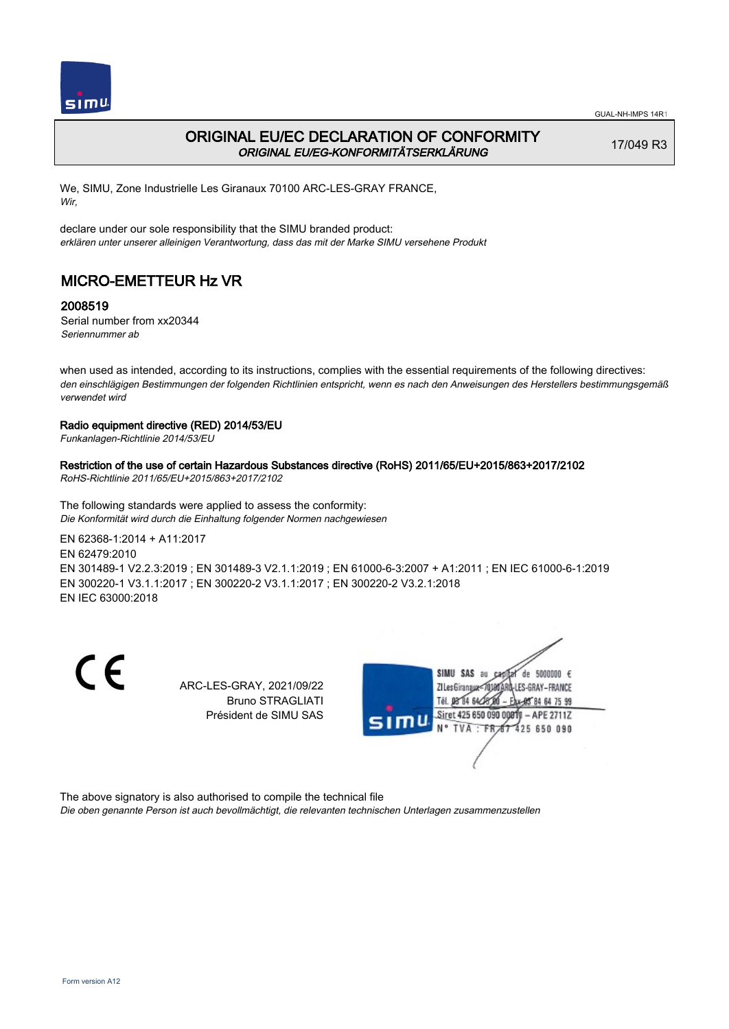

## ORIGINAL EU/EC DECLARATION OF CONFORMITY ORIGINAL EU/EG-KONFORMITÄTSERKLÄRUNG

17/049 R3

We, SIMU, Zone Industrielle Les Giranaux 70100 ARC-LES-GRAY FRANCE, Wir,

declare under our sole responsibility that the SIMU branded product: erklären unter unserer alleinigen Verantwortung, dass das mit der Marke SIMU versehene Produkt

# MICRO-EMETTEUR Hz VR

### 2008519

Serial number from xx20344 Seriennummer ab

when used as intended, according to its instructions, complies with the essential requirements of the following directives: den einschlägigen Bestimmungen der folgenden Richtlinien entspricht, wenn es nach den Anweisungen des Herstellers bestimmungsgemäß verwendet wird

### Radio equipment directive (RED) 2014/53/EU

Funkanlagen-Richtlinie 2014/53/EU

#### Restriction of the use of certain Hazardous Substances directive (RoHS) 2011/65/EU+2015/863+2017/2102

RoHS-Richtlinie 2011/65/EU+2015/863+2017/2102

The following standards were applied to assess the conformity: Die Konformität wird durch die Einhaltung folgender Normen nachgewiesen

EN 62368‑1:2014 + A11:2017

EN 62479:2010 EN 301489‑1 V2.2.3:2019 ; EN 301489‑3 V2.1.1:2019 ; EN 61000‑6‑3:2007 + A1:2011 ; EN IEC 61000‑6‑1:2019 EN 300220‑1 V3.1.1:2017 ; EN 300220‑2 V3.1.1:2017 ; EN 300220‑2 V3.2.1:2018 EN IEC 63000:2018

CE

ARC-LES-GRAY, 2021/09/22 Bruno STRAGLIATI Président de SIMU SAS



The above signatory is also authorised to compile the technical file

Die oben genannte Person ist auch bevollmächtigt, die relevanten technischen Unterlagen zusammenzustellen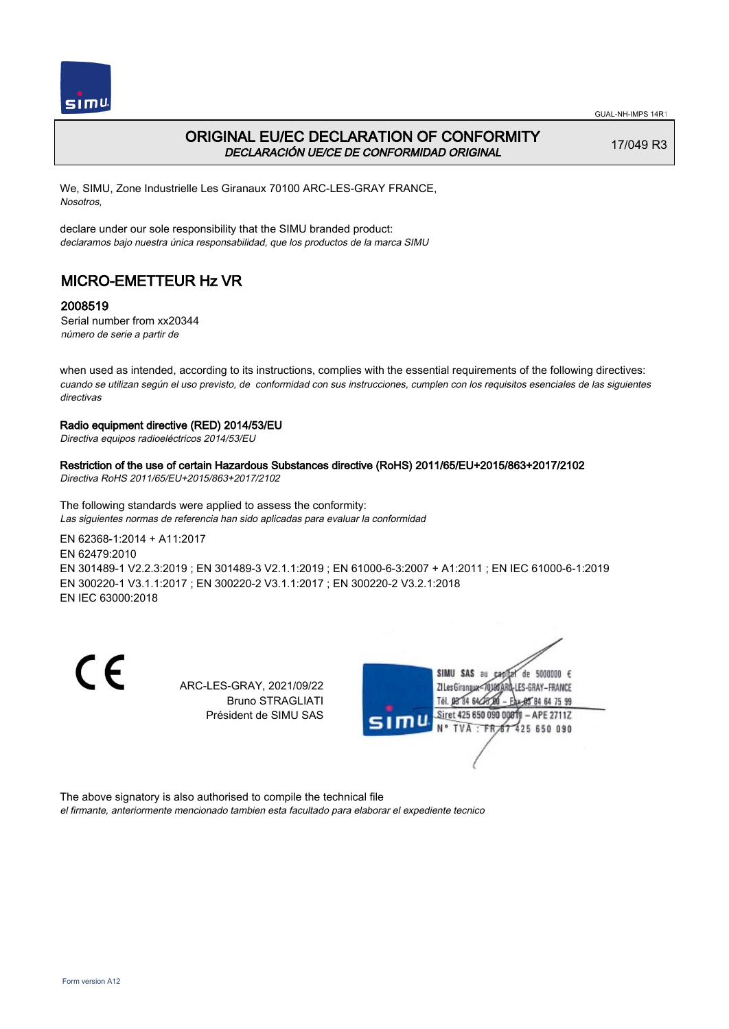

## ORIGINAL EU/EC DECLARATION OF CONFORMITY DECLARACIÓN UE/CE DE CONFORMIDAD ORIGINAL

17/049 R3

We, SIMU, Zone Industrielle Les Giranaux 70100 ARC-LES-GRAY FRANCE, Nosotros,

declare under our sole responsibility that the SIMU branded product: declaramos bajo nuestra única responsabilidad, que los productos de la marca SIMU

# MICRO-EMETTEUR Hz VR

### 2008519

Serial number from xx20344 número de serie a partir de

when used as intended, according to its instructions, complies with the essential requirements of the following directives: cuando se utilizan según el uso previsto, de conformidad con sus instrucciones, cumplen con los requisitos esenciales de las siguientes directivas

#### Radio equipment directive (RED) 2014/53/EU

Directiva equipos radioeléctricos 2014/53/EU

### Restriction of the use of certain Hazardous Substances directive (RoHS) 2011/65/EU+2015/863+2017/2102

Directiva RoHS 2011/65/EU+2015/863+2017/2102

The following standards were applied to assess the conformity: Las siguientes normas de referencia han sido aplicadas para evaluar la conformidad

EN 62368‑1:2014 + A11:2017 EN 62479:2010 EN 301489‑1 V2.2.3:2019 ; EN 301489‑3 V2.1.1:2019 ; EN 61000‑6‑3:2007 + A1:2011 ; EN IEC 61000‑6‑1:2019

EN 300220‑1 V3.1.1:2017 ; EN 300220‑2 V3.1.1:2017 ; EN 300220‑2 V3.2.1:2018 EN IEC 63000:2018

 $\epsilon$ 

ARC-LES-GRAY, 2021/09/22 Bruno STRAGLIATI Président de SIMU SAS



The above signatory is also authorised to compile the technical file

el firmante, anteriormente mencionado tambien esta facultado para elaborar el expediente tecnico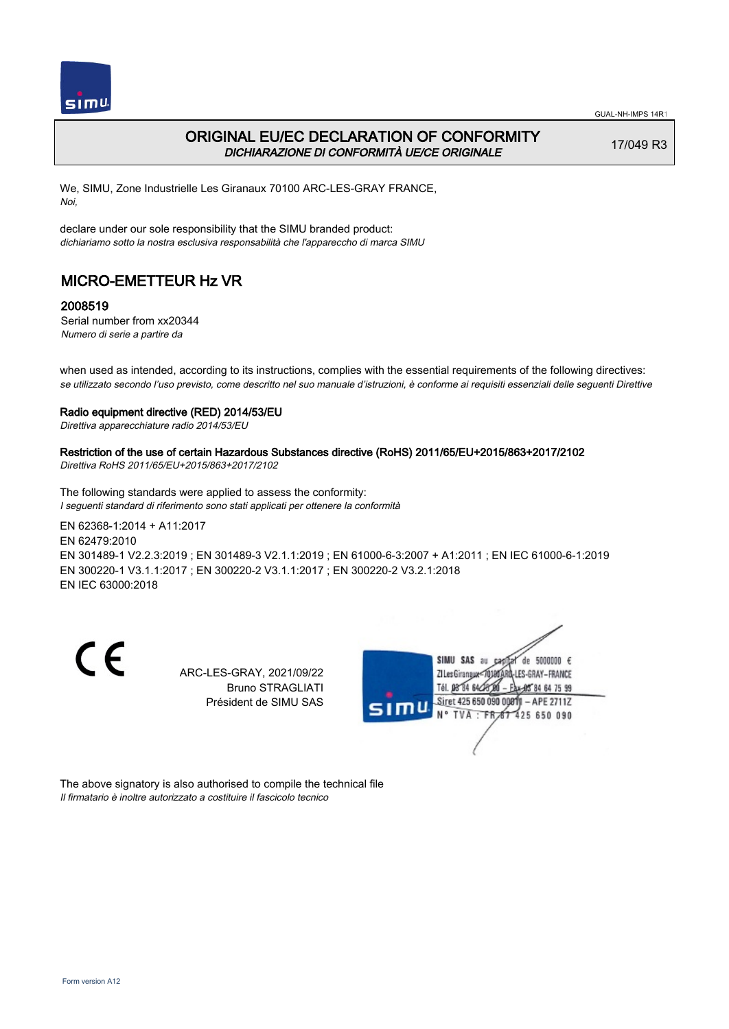

## ORIGINAL EU/EC DECLARATION OF CONFORMITY DICHIARAZIONE DI CONFORMITÀ UE/CE ORIGINALE

17/049 R3

We, SIMU, Zone Industrielle Les Giranaux 70100 ARC-LES-GRAY FRANCE, Noi,

declare under our sole responsibility that the SIMU branded product: dichiariamo sotto la nostra esclusiva responsabilità che l'appareccho di marca SIMU

# MICRO-EMETTEUR Hz VR

### 2008519

Serial number from xx20344 Numero di serie a partire da

when used as intended, according to its instructions, complies with the essential requirements of the following directives: se utilizzato secondo l'uso previsto, come descritto nel suo manuale d'istruzioni, è conforme ai requisiti essenziali delle seguenti Direttive

#### Radio equipment directive (RED) 2014/53/EU

Direttiva apparecchiature radio 2014/53/EU

### Restriction of the use of certain Hazardous Substances directive (RoHS) 2011/65/EU+2015/863+2017/2102

Direttiva RoHS 2011/65/EU+2015/863+2017/2102

The following standards were applied to assess the conformity: I seguenti standard di riferimento sono stati applicati per ottenere la conformità

EN 62368‑1:2014 + A11:2017 EN 62479:2010 EN 301489‑1 V2.2.3:2019 ; EN 301489‑3 V2.1.1:2019 ; EN 61000‑6‑3:2007 + A1:2011 ; EN IEC 61000‑6‑1:2019 EN 300220‑1 V3.1.1:2017 ; EN 300220‑2 V3.1.1:2017 ; EN 300220‑2 V3.2.1:2018 EN IEC 63000:2018

C E

ARC-LES-GRAY, 2021/09/22 Bruno STRAGLIATI Président de SIMU SAS



The above signatory is also authorised to compile the technical file Il firmatario è inoltre autorizzato a costituire il fascicolo tecnico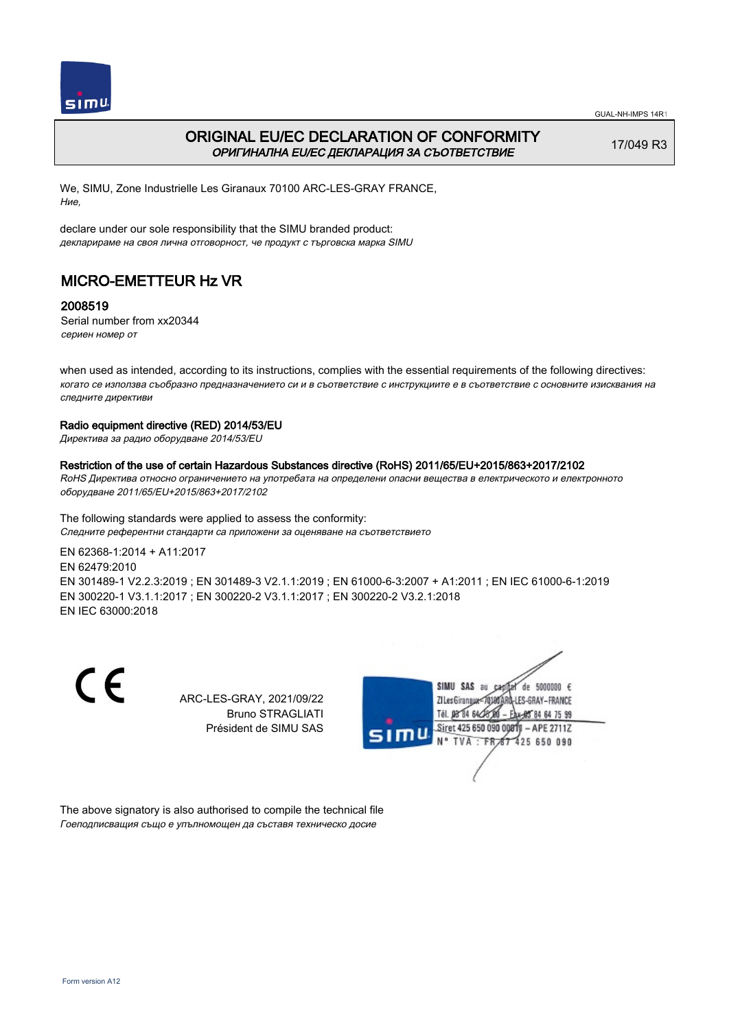

## ORIGINAL EU/EC DECLARATION OF CONFORMITY ОРИГИНАЛНА EU/EC ДЕКЛАРАЦИЯ ЗА СЪОТВЕТСТВИЕ

17/049 R3

We, SIMU, Zone Industrielle Les Giranaux 70100 ARC-LES-GRAY FRANCE, Ние,

declare under our sole responsibility that the SIMU branded product: декларираме на своя лична отговорност, че продукт с търговска марка SIMU

# MICRO-EMETTEUR Hz VR

### 2008519

Serial number from xx20344 сериен номер от

when used as intended, according to its instructions, complies with the essential requirements of the following directives: когато се използва съобразно предназначението си и в съответствие с инструкциите е в съответствие с основните изисквания на следните директиви

#### Radio equipment directive (RED) 2014/53/EU

Директива за радио оборудване 2014/53/EU

Restriction of the use of certain Hazardous Substances directive (RoHS) 2011/65/EU+2015/863+2017/2102 RoHS Директива относно ограничението на употребата на определени опасни вещества в електрическото и електронното оборудване 2011/65/EU+2015/863+2017/2102

The following standards were applied to assess the conformity: Следните референтни стандарти са приложени за оценяване на съответствието

EN 62368‑1:2014 + A11:2017 EN 62479:2010 EN 301489‑1 V2.2.3:2019 ; EN 301489‑3 V2.1.1:2019 ; EN 61000‑6‑3:2007 + A1:2011 ; EN IEC 61000‑6‑1:2019 EN 300220‑1 V3.1.1:2017 ; EN 300220‑2 V3.1.1:2017 ; EN 300220‑2 V3.2.1:2018 EN IEC 63000:2018

C E

ARC-LES-GRAY, 2021/09/22 Bruno STRAGLIATI Président de SIMU SAS



The above signatory is also authorised to compile the technical file Гоеподписващия също е упълномощен да съставя техническо досие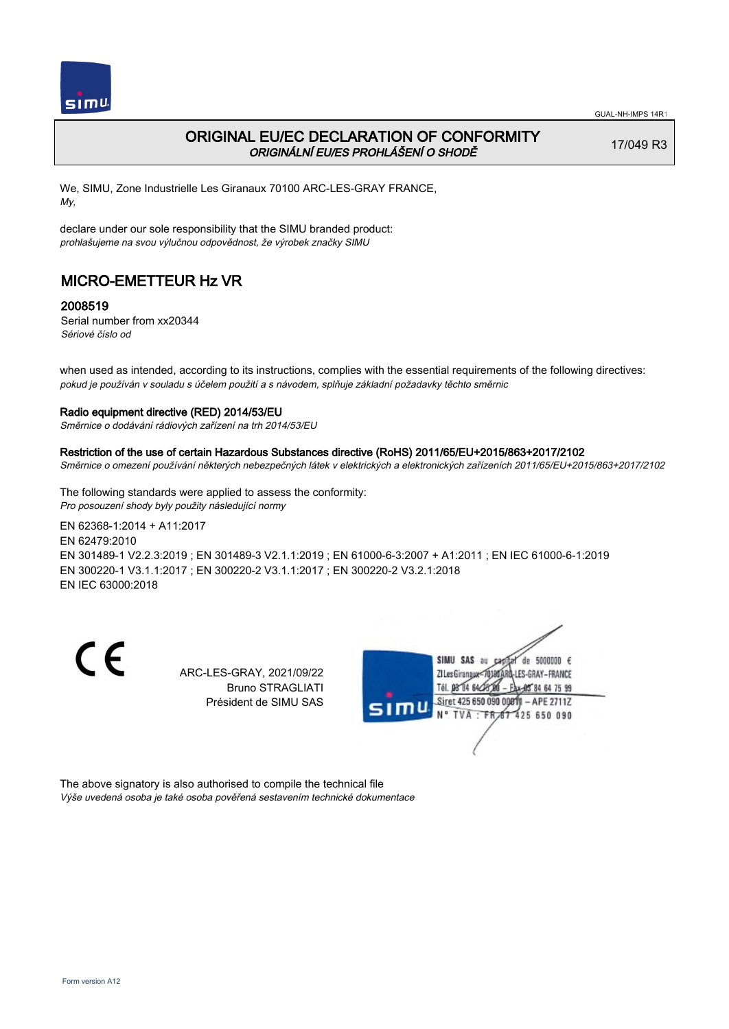

## ORIGINAL EU/EC DECLARATION OF CONFORMITY ORIGINÁLNÍ EU/ES PROHLÁŠENÍ O SHODĚ

17/049 R3

We, SIMU, Zone Industrielle Les Giranaux 70100 ARC-LES-GRAY FRANCE, My,

declare under our sole responsibility that the SIMU branded product: prohlašujeme na svou výlučnou odpovědnost, že výrobek značky SIMU

# MICRO-EMETTEUR Hz VR

### 2008519

Serial number from xx20344 Sériové číslo od

when used as intended, according to its instructions, complies with the essential requirements of the following directives: pokud je používán v souladu s účelem použití a s návodem, splňuje základní požadavky těchto směrnic

#### Radio equipment directive (RED) 2014/53/EU

Směrnice o dodávání rádiových zařízení na trh 2014/53/EU

#### Restriction of the use of certain Hazardous Substances directive (RoHS) 2011/65/EU+2015/863+2017/2102

Směrnice o omezení používání některých nebezpečných látek v elektrických a elektronických zařízeních 2011/65/EU+2015/863+2017/2102

The following standards were applied to assess the conformity: Pro posouzení shody byly použity následující normy

EN 62368‑1:2014 + A11:2017 EN 62479:2010 EN 301489‑1 V2.2.3:2019 ; EN 301489‑3 V2.1.1:2019 ; EN 61000‑6‑3:2007 + A1:2011 ; EN IEC 61000‑6‑1:2019 EN 300220‑1 V3.1.1:2017 ; EN 300220‑2 V3.1.1:2017 ; EN 300220‑2 V3.2.1:2018 EN IEC 63000:2018

C E

ARC-LES-GRAY, 2021/09/22 Bruno STRAGLIATI Président de SIMU SAS



The above signatory is also authorised to compile the technical file Výše uvedená osoba je také osoba pověřená sestavením technické dokumentace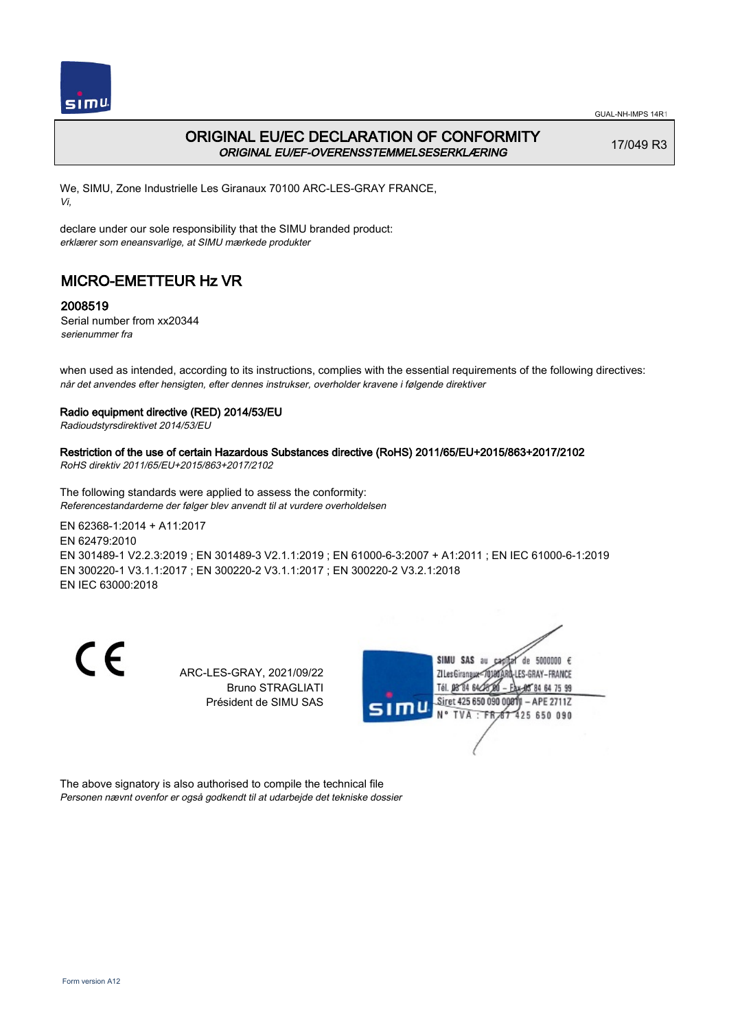

## ORIGINAL EU/EC DECLARATION OF CONFORMITY ORIGINAL EU/EF-OVERENSSTEMMELSESERKLÆRING

17/049 R3

We, SIMU, Zone Industrielle Les Giranaux 70100 ARC-LES-GRAY FRANCE, Vi,

declare under our sole responsibility that the SIMU branded product: erklærer som eneansvarlige, at SIMU mærkede produkter

# MICRO-EMETTEUR Hz VR

### 2008519

Serial number from xx20344 serienummer fra

when used as intended, according to its instructions, complies with the essential requirements of the following directives: når det anvendes efter hensigten, efter dennes instrukser, overholder kravene i følgende direktiver

#### Radio equipment directive (RED) 2014/53/EU

Radioudstyrsdirektivet 2014/53/EU

### Restriction of the use of certain Hazardous Substances directive (RoHS) 2011/65/EU+2015/863+2017/2102

RoHS direktiv 2011/65/EU+2015/863+2017/2102

The following standards were applied to assess the conformity: Referencestandarderne der følger blev anvendt til at vurdere overholdelsen

EN 62368‑1:2014 + A11:2017 EN 62479:2010 EN 301489‑1 V2.2.3:2019 ; EN 301489‑3 V2.1.1:2019 ; EN 61000‑6‑3:2007 + A1:2011 ; EN IEC 61000‑6‑1:2019 EN 300220‑1 V3.1.1:2017 ; EN 300220‑2 V3.1.1:2017 ; EN 300220‑2 V3.2.1:2018 EN IEC 63000:2018

C E

ARC-LES-GRAY, 2021/09/22 Bruno STRAGLIATI Président de SIMU SAS



The above signatory is also authorised to compile the technical file Personen nævnt ovenfor er også godkendt til at udarbejde det tekniske dossier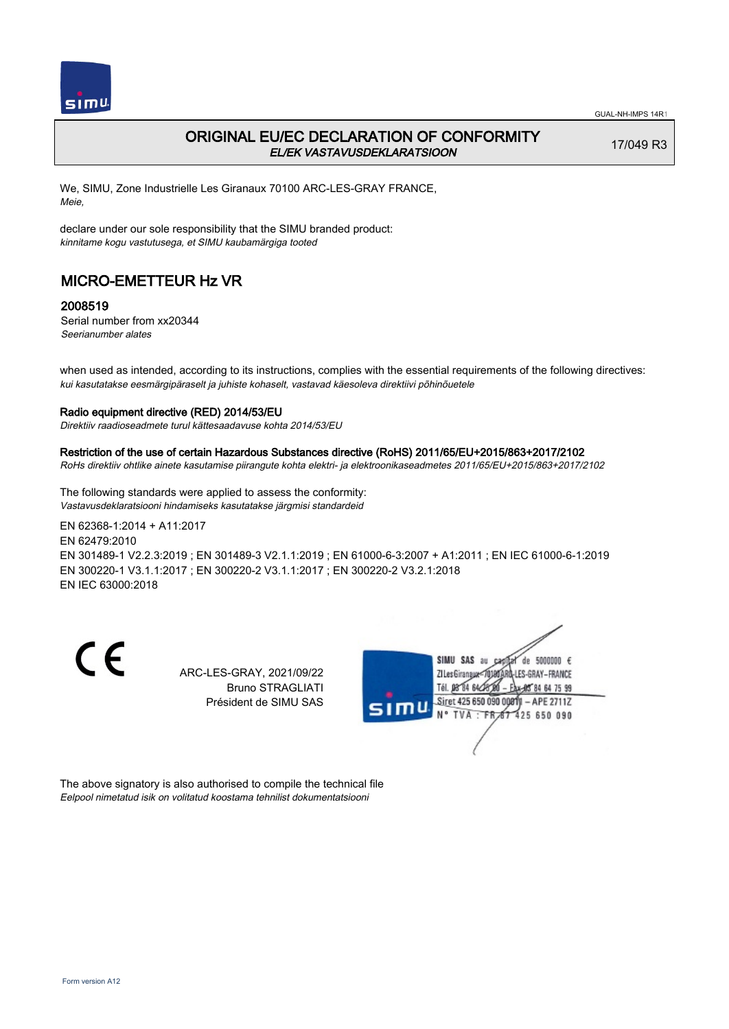

## ORIGINAL EU/EC DECLARATION OF CONFORMITY EL/EK VASTAVUSDEKLARATSIOON

17/049 R3

We, SIMU, Zone Industrielle Les Giranaux 70100 ARC-LES-GRAY FRANCE, Meie,

declare under our sole responsibility that the SIMU branded product: kinnitame kogu vastutusega, et SIMU kaubamärgiga tooted

# MICRO-EMETTEUR Hz VR

### 2008519

Serial number from xx20344 Seerianumber alates

when used as intended, according to its instructions, complies with the essential requirements of the following directives: kui kasutatakse eesmärgipäraselt ja juhiste kohaselt, vastavad käesoleva direktiivi põhinõuetele

### Radio equipment directive (RED) 2014/53/EU

Direktiiv raadioseadmete turul kättesaadavuse kohta 2014/53/EU

#### Restriction of the use of certain Hazardous Substances directive (RoHS) 2011/65/EU+2015/863+2017/2102

RoHs direktiiv ohtlike ainete kasutamise piirangute kohta elektri- ja elektroonikaseadmetes 2011/65/EU+2015/863+2017/2102

The following standards were applied to assess the conformity: Vastavusdeklaratsiooni hindamiseks kasutatakse järgmisi standardeid

EN 62368‑1:2014 + A11:2017 EN 62479:2010 EN 301489‑1 V2.2.3:2019 ; EN 301489‑3 V2.1.1:2019 ; EN 61000‑6‑3:2007 + A1:2011 ; EN IEC 61000‑6‑1:2019 EN 300220‑1 V3.1.1:2017 ; EN 300220‑2 V3.1.1:2017 ; EN 300220‑2 V3.2.1:2018 EN IEC 63000:2018

C E

ARC-LES-GRAY, 2021/09/22 Bruno STRAGLIATI Président de SIMU SAS



The above signatory is also authorised to compile the technical file Eelpool nimetatud isik on volitatud koostama tehnilist dokumentatsiooni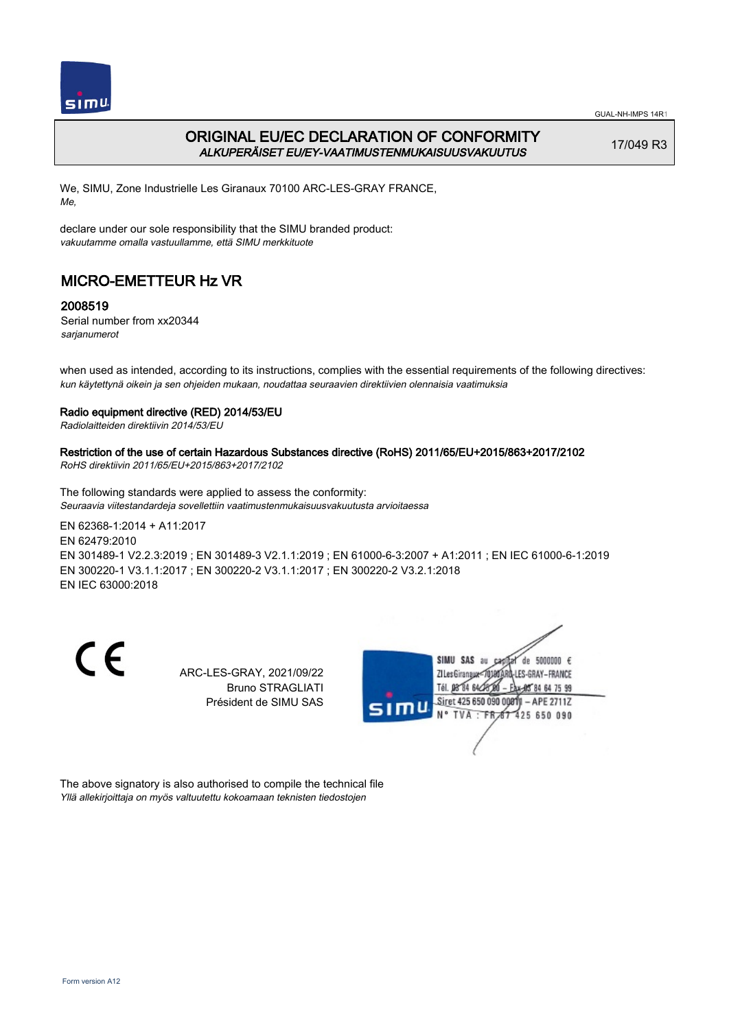

GUAL-NH-IMPS 14R1

## ORIGINAL EU/EC DECLARATION OF CONFORMITY ALKUPERÄISET EU/EY-VAATIMUSTENMUKAISUUSVAKUUTUS

17/049 R3

We, SIMU, Zone Industrielle Les Giranaux 70100 ARC-LES-GRAY FRANCE, Me,

declare under our sole responsibility that the SIMU branded product: vakuutamme omalla vastuullamme, että SIMU merkkituote

# MICRO-EMETTEUR Hz VR

### 2008519

Serial number from xx20344 sarjanumerot

when used as intended, according to its instructions, complies with the essential requirements of the following directives: kun käytettynä oikein ja sen ohjeiden mukaan, noudattaa seuraavien direktiivien olennaisia vaatimuksia

### Radio equipment directive (RED) 2014/53/EU

Radiolaitteiden direktiivin 2014/53/EU

Restriction of the use of certain Hazardous Substances directive (RoHS) 2011/65/EU+2015/863+2017/2102 RoHS direktiivin 2011/65/EU+2015/863+2017/2102

The following standards were applied to assess the conformity: Seuraavia viitestandardeja sovellettiin vaatimustenmukaisuusvakuutusta arvioitaessa

EN 62368‑1:2014 + A11:2017 EN 62479:2010 EN 301489‑1 V2.2.3:2019 ; EN 301489‑3 V2.1.1:2019 ; EN 61000‑6‑3:2007 + A1:2011 ; EN IEC 61000‑6‑1:2019 EN 300220‑1 V3.1.1:2017 ; EN 300220‑2 V3.1.1:2017 ; EN 300220‑2 V3.2.1:2018 EN IEC 63000:2018

C E

ARC-LES-GRAY, 2021/09/22 Bruno STRAGLIATI Président de SIMU SAS



The above signatory is also authorised to compile the technical file Yllä allekirjoittaja on myös valtuutettu kokoamaan teknisten tiedostojen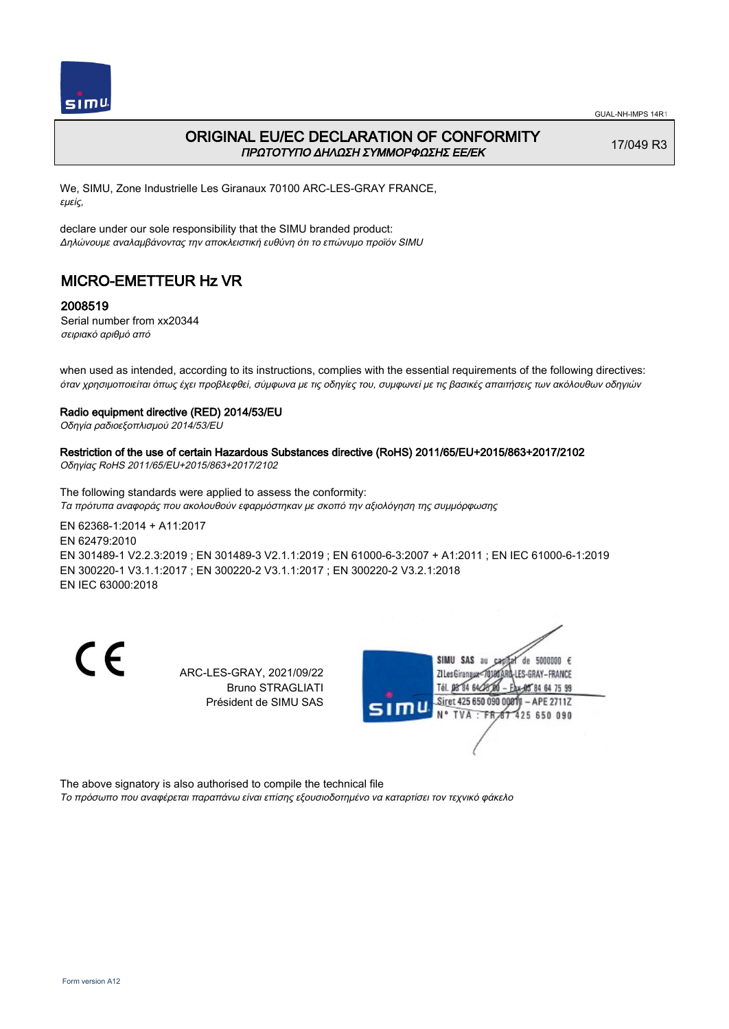

## ORIGINAL EU/EC DECLARATION OF CONFORMITY ΠΡΩΤΟΤΥΠΟ ΔΗΛΩΣΗ ΣΥΜΜΟΡΦΩΣΗΣ ΕΕ/EK

17/049 R3

We, SIMU, Zone Industrielle Les Giranaux 70100 ARC-LES-GRAY FRANCE, εμείς,

declare under our sole responsibility that the SIMU branded product: Δηλώνουμε αναλαμβάνοντας την αποκλειστική ευθύνη ότι το επώνυμο προϊόν SIMU

# MICRO-EMETTEUR Hz VR

### 2008519

Serial number from xx20344 σειριακό αριθμό από

when used as intended, according to its instructions, complies with the essential requirements of the following directives: όταν χρησιμοποιείται όπως έχει προβλεφθεί, σύμφωνα με τις οδηγίες του, συμφωνεί με τις βασικές απαιτήσεις των ακόλουθων οδηγιών

### Radio equipment directive (RED) 2014/53/EU

Οδηγία ραδιοεξοπλισμού 2014/53/EU

# Restriction of the use of certain Hazardous Substances directive (RoHS) 2011/65/EU+2015/863+2017/2102

Οδηγίας RoHS 2011/65/EU+2015/863+2017/2102

The following standards were applied to assess the conformity: Τα πρότυπα αναφοράς που ακολουθούν εφαρμόστηκαν με σκοπό την αξιολόγηση της συμμόρφωσης

EN 62368‑1:2014 + A11:2017 EN 62479:2010 EN 301489‑1 V2.2.3:2019 ; EN 301489‑3 V2.1.1:2019 ; EN 61000‑6‑3:2007 + A1:2011 ; EN IEC 61000‑6‑1:2019 EN 300220‑1 V3.1.1:2017 ; EN 300220‑2 V3.1.1:2017 ; EN 300220‑2 V3.2.1:2018 EN IEC 63000:2018

C E

ARC-LES-GRAY, 2021/09/22 Bruno STRAGLIATI Président de SIMU SAS



The above signatory is also authorised to compile the technical file

Το πρόσωπο που αναφέρεται παραπάνω είναι επίσης εξουσιοδοτημένο να καταρτίσει τον τεχνικό φάκελο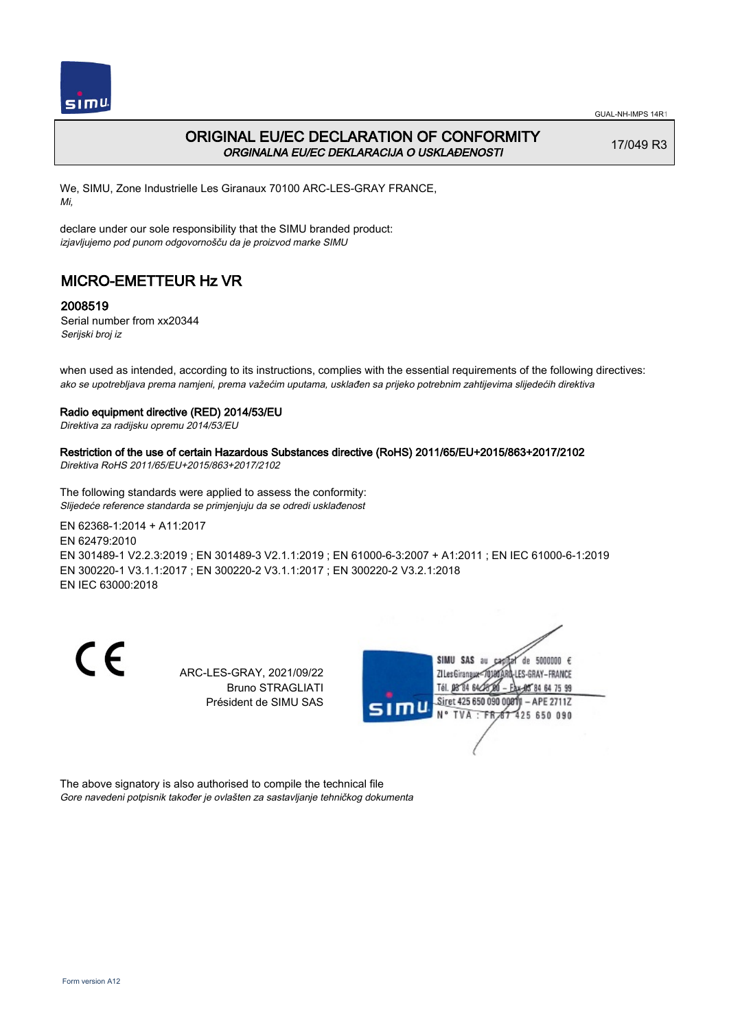

## ORIGINAL EU/EC DECLARATION OF CONFORMITY ORGINALNA EU/EC DEKLARACIJA O USKLAĐENOSTI

17/049 R3

We, SIMU, Zone Industrielle Les Giranaux 70100 ARC-LES-GRAY FRANCE, Mi,

declare under our sole responsibility that the SIMU branded product: izjavljujemo pod punom odgovornošču da je proizvod marke SIMU

# MICRO-EMETTEUR Hz VR

### 2008519

Serial number from xx20344 Serijski broj iz

when used as intended, according to its instructions, complies with the essential requirements of the following directives: ako se upotrebljava prema namjeni, prema važećim uputama, usklađen sa prijeko potrebnim zahtijevima slijedećih direktiva

#### Radio equipment directive (RED) 2014/53/EU

Direktiva za radijsku opremu 2014/53/EU

## Restriction of the use of certain Hazardous Substances directive (RoHS) 2011/65/EU+2015/863+2017/2102

Direktiva RoHS 2011/65/EU+2015/863+2017/2102

The following standards were applied to assess the conformity: Slijedeće reference standarda se primjenjuju da se odredi usklađenost

EN 62368‑1:2014 + A11:2017 EN 62479:2010 EN 301489‑1 V2.2.3:2019 ; EN 301489‑3 V2.1.1:2019 ; EN 61000‑6‑3:2007 + A1:2011 ; EN IEC 61000‑6‑1:2019 EN 300220‑1 V3.1.1:2017 ; EN 300220‑2 V3.1.1:2017 ; EN 300220‑2 V3.2.1:2018 EN IEC 63000:2018

C E

ARC-LES-GRAY, 2021/09/22 Bruno STRAGLIATI Président de SIMU SAS



The above signatory is also authorised to compile the technical file Gore navedeni potpisnik također je ovlašten za sastavljanje tehničkog dokumenta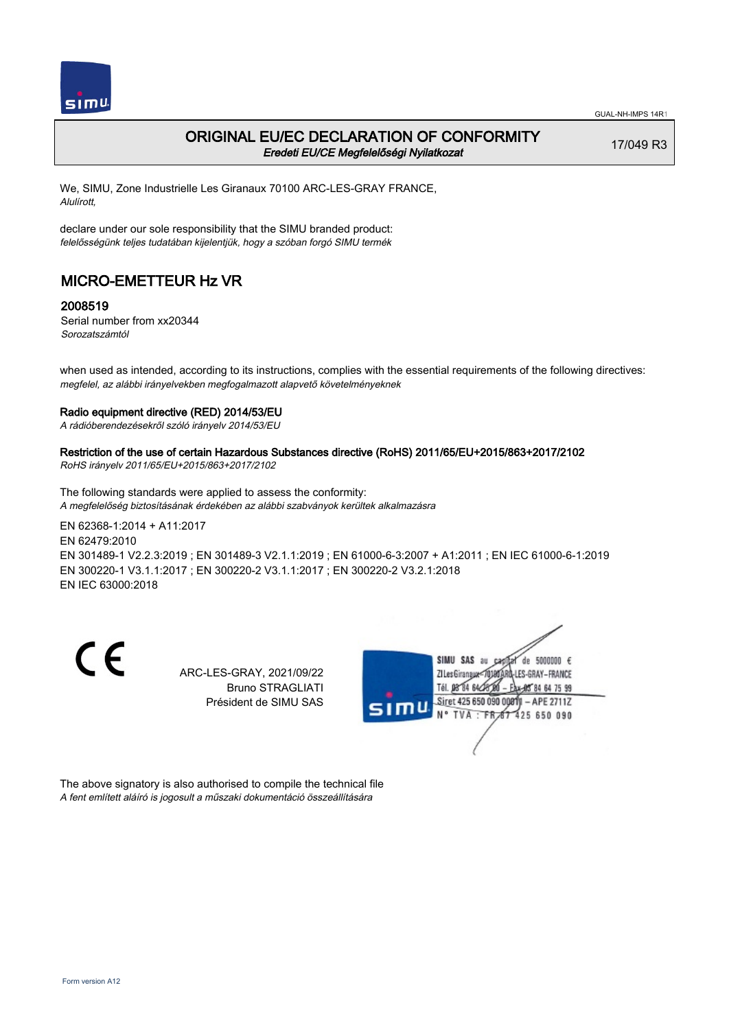

### ORIGINAL EU/EC DECLARATION OF CONFORMITY Eredeti EU/CE Megfelelőségi Nyilatkozat

17/049 R3

We, SIMU, Zone Industrielle Les Giranaux 70100 ARC-LES-GRAY FRANCE, Alulírott,

declare under our sole responsibility that the SIMU branded product: felelősségünk teljes tudatában kijelentjük, hogy a szóban forgó SIMU termék

# MICRO-EMETTEUR Hz VR

### 2008519

Serial number from xx20344 Sorozatszámtól

when used as intended, according to its instructions, complies with the essential requirements of the following directives: megfelel, az alábbi irányelvekben megfogalmazott alapvető követelményeknek

#### Radio equipment directive (RED) 2014/53/EU

A rádióberendezésekről szóló irányelv 2014/53/EU

### Restriction of the use of certain Hazardous Substances directive (RoHS) 2011/65/EU+2015/863+2017/2102

RoHS irányelv 2011/65/EU+2015/863+2017/2102

The following standards were applied to assess the conformity: A megfelelőség biztosításának érdekében az alábbi szabványok kerültek alkalmazásra

EN 62368‑1:2014 + A11:2017 EN 62479:2010 EN 301489‑1 V2.2.3:2019 ; EN 301489‑3 V2.1.1:2019 ; EN 61000‑6‑3:2007 + A1:2011 ; EN IEC 61000‑6‑1:2019 EN 300220‑1 V3.1.1:2017 ; EN 300220‑2 V3.1.1:2017 ; EN 300220‑2 V3.2.1:2018 EN IEC 63000:2018

C E

ARC-LES-GRAY, 2021/09/22 Bruno STRAGLIATI Président de SIMU SAS



The above signatory is also authorised to compile the technical file A fent említett aláíró is jogosult a műszaki dokumentáció összeállítására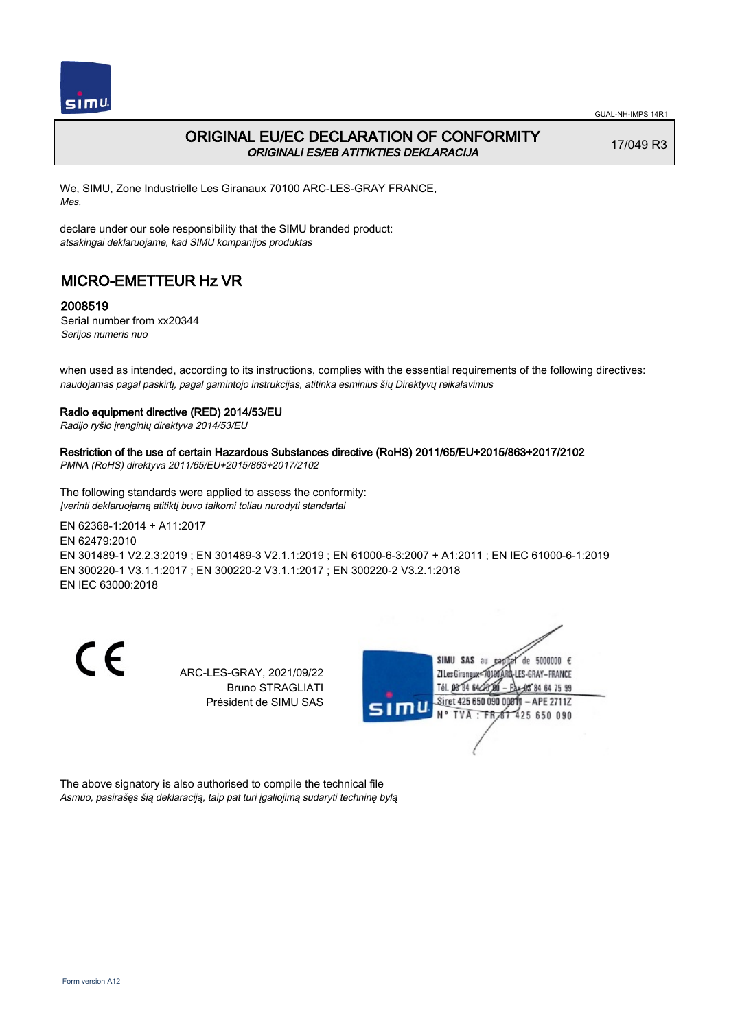

## ORIGINAL EU/EC DECLARATION OF CONFORMITY ORIGINALI ES/EB ATITIKTIES DEKLARACIJA

17/049 R3

We, SIMU, Zone Industrielle Les Giranaux 70100 ARC-LES-GRAY FRANCE, Mes,

declare under our sole responsibility that the SIMU branded product: atsakingai deklaruojame, kad SIMU kompanijos produktas

# MICRO-EMETTEUR Hz VR

### 2008519

Serial number from xx20344 Serijos numeris nuo

when used as intended, according to its instructions, complies with the essential requirements of the following directives: naudojamas pagal paskirtį, pagal gamintojo instrukcijas, atitinka esminius šių Direktyvų reikalavimus

#### Radio equipment directive (RED) 2014/53/EU

Radijo ryšio įrenginių direktyva 2014/53/EU

### Restriction of the use of certain Hazardous Substances directive (RoHS) 2011/65/EU+2015/863+2017/2102

PMNA (RoHS) direktyva 2011/65/EU+2015/863+2017/2102

The following standards were applied to assess the conformity: Įverinti deklaruojamą atitiktį buvo taikomi toliau nurodyti standartai

EN 62368‑1:2014 + A11:2017 EN 62479:2010 EN 301489‑1 V2.2.3:2019 ; EN 301489‑3 V2.1.1:2019 ; EN 61000‑6‑3:2007 + A1:2011 ; EN IEC 61000‑6‑1:2019 EN 300220‑1 V3.1.1:2017 ; EN 300220‑2 V3.1.1:2017 ; EN 300220‑2 V3.2.1:2018 EN IEC 63000:2018

C E

ARC-LES-GRAY, 2021/09/22 Bruno STRAGLIATI Président de SIMU SAS



The above signatory is also authorised to compile the technical file Asmuo, pasirašęs šią deklaraciją, taip pat turi įgaliojimą sudaryti techninę bylą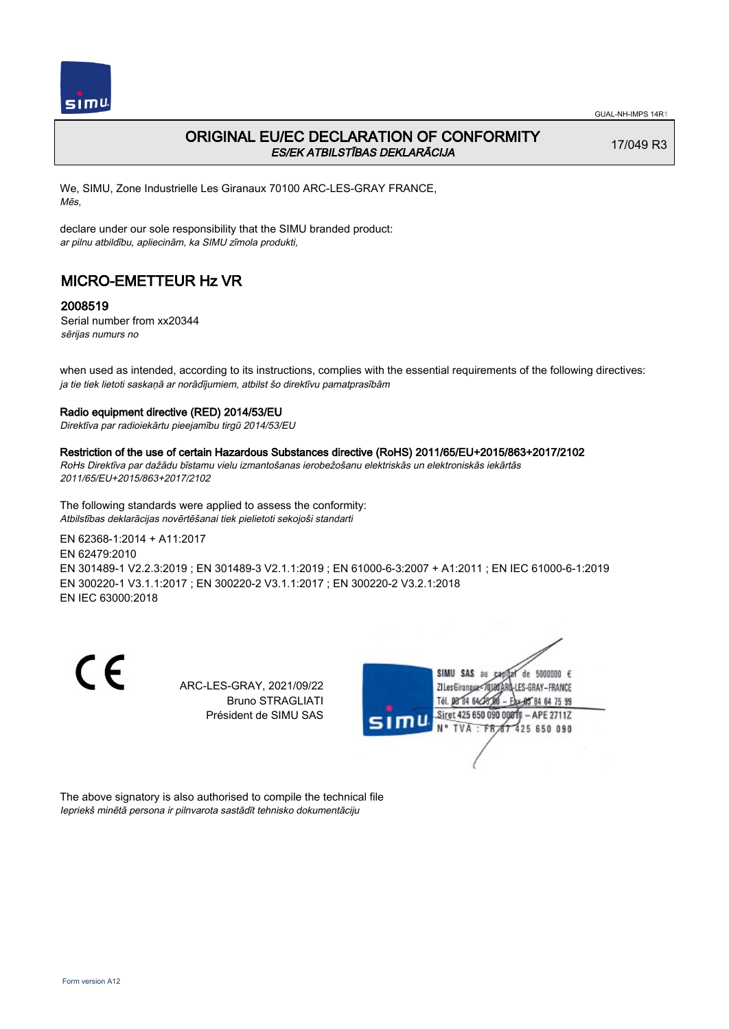

## ORIGINAL EU/EC DECLARATION OF CONFORMITY ES/EK ATBILSTĪBAS DEKLARĀCIJA

17/049 R3

We, SIMU, Zone Industrielle Les Giranaux 70100 ARC-LES-GRAY FRANCE, Mēs,

declare under our sole responsibility that the SIMU branded product: ar pilnu atbildību, apliecinām, ka SIMU zīmola produkti,

# MICRO-EMETTEUR Hz VR

### 2008519

Serial number from xx20344 sērijas numurs no

when used as intended, according to its instructions, complies with the essential requirements of the following directives: ja tie tiek lietoti saskaņā ar norādījumiem, atbilst šo direktīvu pamatprasībām

### Radio equipment directive (RED) 2014/53/EU

Direktīva par radioiekārtu pieejamību tirgū 2014/53/EU

#### Restriction of the use of certain Hazardous Substances directive (RoHS) 2011/65/EU+2015/863+2017/2102

RoHs Direktīva par dažādu bīstamu vielu izmantošanas ierobežošanu elektriskās un elektroniskās iekārtās 2011/65/EU+2015/863+2017/2102

The following standards were applied to assess the conformity: Atbilstības deklarācijas novērtēšanai tiek pielietoti sekojoši standarti

EN 62368‑1:2014 + A11:2017 EN 62479:2010

EN 301489‑1 V2.2.3:2019 ; EN 301489‑3 V2.1.1:2019 ; EN 61000‑6‑3:2007 + A1:2011 ; EN IEC 61000‑6‑1:2019 EN 300220‑1 V3.1.1:2017 ; EN 300220‑2 V3.1.1:2017 ; EN 300220‑2 V3.2.1:2018 EN IEC 63000:2018

CE

ARC-LES-GRAY, 2021/09/22 Bruno STRAGLIATI Président de SIMU SAS



The above signatory is also authorised to compile the technical file Iepriekš minētā persona ir pilnvarota sastādīt tehnisko dokumentāciju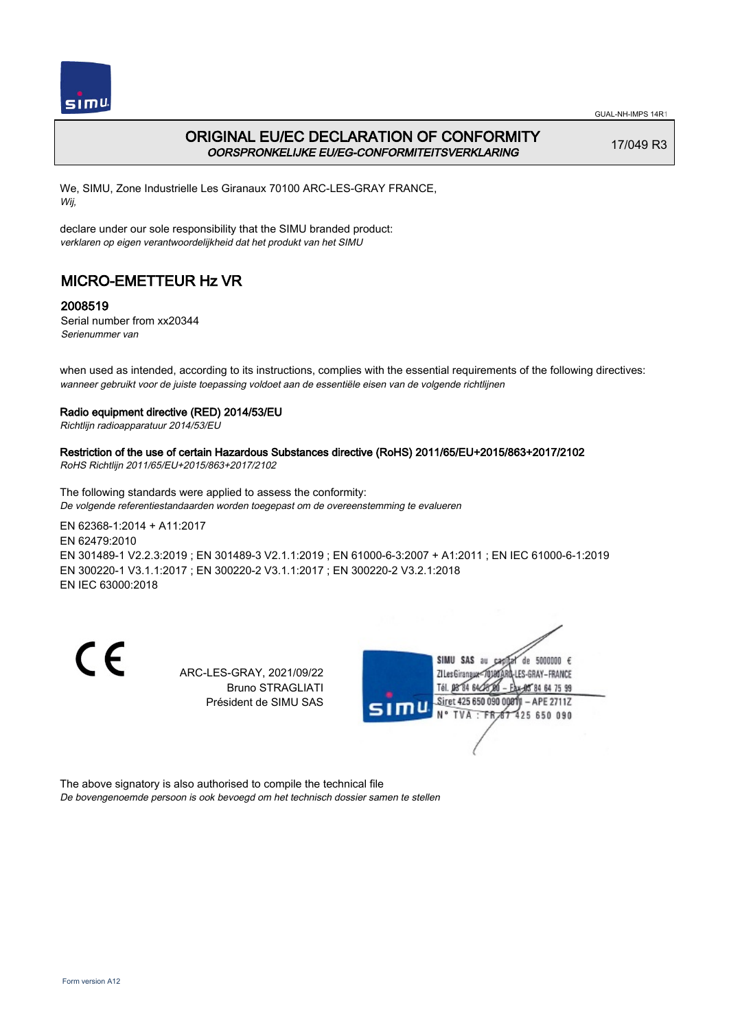

GUAL-NH-IMPS 14R1

## ORIGINAL EU/EC DECLARATION OF CONFORMITY OORSPRONKELIJKE EU/EG-CONFORMITEITSVERKLARING

17/049 R3

We, SIMU, Zone Industrielle Les Giranaux 70100 ARC-LES-GRAY FRANCE, Wij,

declare under our sole responsibility that the SIMU branded product: verklaren op eigen verantwoordelijkheid dat het produkt van het SIMU

# MICRO-EMETTEUR Hz VR

### 2008519

Serial number from xx20344 Serienummer van

when used as intended, according to its instructions, complies with the essential requirements of the following directives: wanneer gebruikt voor de juiste toepassing voldoet aan de essentiële eisen van de volgende richtlijnen

### Radio equipment directive (RED) 2014/53/EU

Richtlijn radioapparatuur 2014/53/EU

# Restriction of the use of certain Hazardous Substances directive (RoHS) 2011/65/EU+2015/863+2017/2102

RoHS Richtlijn 2011/65/EU+2015/863+2017/2102

The following standards were applied to assess the conformity: De volgende referentiestandaarden worden toegepast om de overeenstemming te evalueren

EN 62368‑1:2014 + A11:2017 EN 62479:2010 EN 301489‑1 V2.2.3:2019 ; EN 301489‑3 V2.1.1:2019 ; EN 61000‑6‑3:2007 + A1:2011 ; EN IEC 61000‑6‑1:2019 EN 300220‑1 V3.1.1:2017 ; EN 300220‑2 V3.1.1:2017 ; EN 300220‑2 V3.2.1:2018 EN IEC 63000:2018

C E

ARC-LES-GRAY, 2021/09/22 Bruno STRAGLIATI Président de SIMU SAS



The above signatory is also authorised to compile the technical file

De bovengenoemde persoon is ook bevoegd om het technisch dossier samen te stellen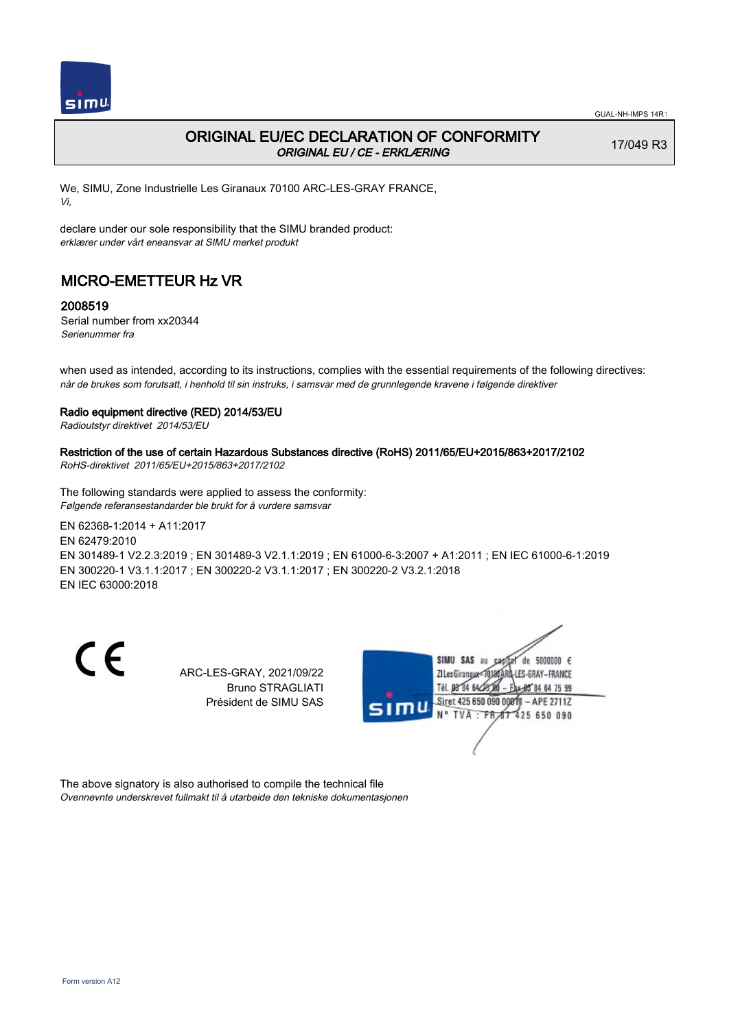

## ORIGINAL EU/EC DECLARATION OF CONFORMITY ORIGINAL EU / CE - ERKLÆRING

17/049 R3

We, SIMU, Zone Industrielle Les Giranaux 70100 ARC-LES-GRAY FRANCE, Vi,

declare under our sole responsibility that the SIMU branded product: erklærer under vårt eneansvar at SIMU merket produkt

# MICRO-EMETTEUR Hz VR

### 2008519

Serial number from xx20344 Serienummer fra

when used as intended, according to its instructions, complies with the essential requirements of the following directives: når de brukes som forutsatt, i henhold til sin instruks, i samsvar med de grunnlegende kravene i følgende direktiver

### Radio equipment directive (RED) 2014/53/EU

Radioutstyr direktivet 2014/53/EU

## Restriction of the use of certain Hazardous Substances directive (RoHS) 2011/65/EU+2015/863+2017/2102

RoHS-direktivet 2011/65/EU+2015/863+2017/2102

The following standards were applied to assess the conformity: Følgende referansestandarder ble brukt for å vurdere samsvar

EN 62368‑1:2014 + A11:2017 EN 62479:2010 EN 301489‑1 V2.2.3:2019 ; EN 301489‑3 V2.1.1:2019 ; EN 61000‑6‑3:2007 + A1:2011 ; EN IEC 61000‑6‑1:2019 EN 300220‑1 V3.1.1:2017 ; EN 300220‑2 V3.1.1:2017 ; EN 300220‑2 V3.2.1:2018 EN IEC 63000:2018

C E

ARC-LES-GRAY, 2021/09/22 Bruno STRAGLIATI Président de SIMU SAS



The above signatory is also authorised to compile the technical file Ovennevnte underskrevet fullmakt til å utarbeide den tekniske dokumentasjonen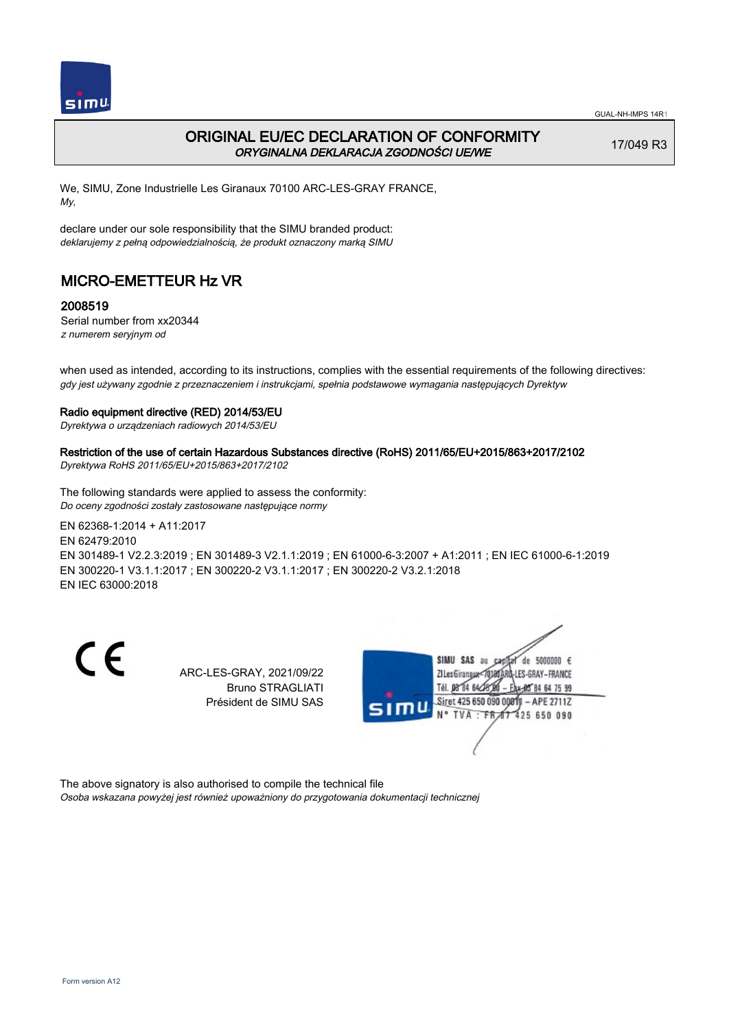

## ORIGINAL EU/EC DECLARATION OF CONFORMITY ORYGINALNA DEKLARACJA ZGODNOŚCI UE/WE

17/049 R3

We, SIMU, Zone Industrielle Les Giranaux 70100 ARC-LES-GRAY FRANCE, My,

declare under our sole responsibility that the SIMU branded product: deklarujemy z pełną odpowiedzialnością, że produkt oznaczony marką SIMU

# MICRO-EMETTEUR Hz VR

### 2008519

Serial number from xx20344 z numerem seryjnym od

when used as intended, according to its instructions, complies with the essential requirements of the following directives: gdy jest używany zgodnie z przeznaczeniem i instrukcjami, spełnia podstawowe wymagania następujących Dyrektyw

### Radio equipment directive (RED) 2014/53/EU

Dyrektywa o urządzeniach radiowych 2014/53/EU

### Restriction of the use of certain Hazardous Substances directive (RoHS) 2011/65/EU+2015/863+2017/2102

Dyrektywa RoHS 2011/65/EU+2015/863+2017/2102

The following standards were applied to assess the conformity: Do oceny zgodności zostały zastosowane następujące normy

EN 62368‑1:2014 + A11:2017 EN 62479:2010 EN 301489‑1 V2.2.3:2019 ; EN 301489‑3 V2.1.1:2019 ; EN 61000‑6‑3:2007 + A1:2011 ; EN IEC 61000‑6‑1:2019 EN 300220‑1 V3.1.1:2017 ; EN 300220‑2 V3.1.1:2017 ; EN 300220‑2 V3.2.1:2018 EN IEC 63000:2018

C E

ARC-LES-GRAY, 2021/09/22 Bruno STRAGLIATI Président de SIMU SAS



The above signatory is also authorised to compile the technical file

Osoba wskazana powyżej jest również upoważniony do przygotowania dokumentacji technicznej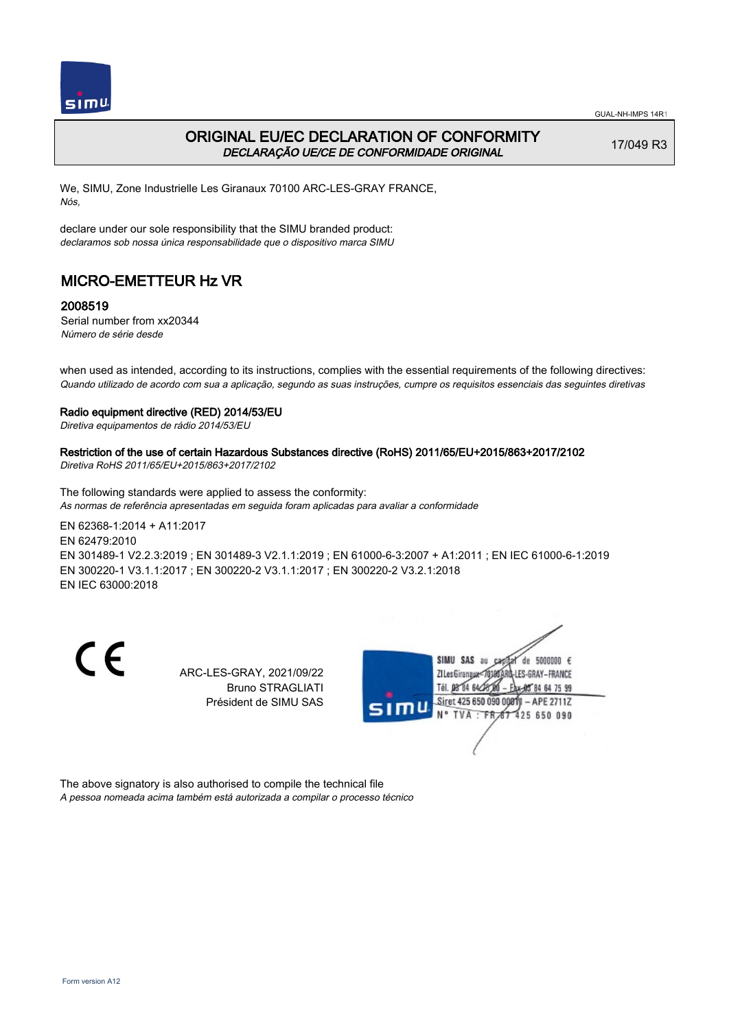

## ORIGINAL EU/EC DECLARATION OF CONFORMITY DECLARAÇÃO UE/CE DE CONFORMIDADE ORIGINAL

17/049 R3

We, SIMU, Zone Industrielle Les Giranaux 70100 ARC-LES-GRAY FRANCE, Nós,

declare under our sole responsibility that the SIMU branded product: declaramos sob nossa única responsabilidade que o dispositivo marca SIMU

# MICRO-EMETTEUR Hz VR

### 2008519

Serial number from xx20344 Número de série desde

when used as intended, according to its instructions, complies with the essential requirements of the following directives: Quando utilizado de acordo com sua a aplicação, segundo as suas instruções, cumpre os requisitos essenciais das seguintes diretivas

#### Radio equipment directive (RED) 2014/53/EU

Diretiva equipamentos de rádio 2014/53/EU

## Restriction of the use of certain Hazardous Substances directive (RoHS) 2011/65/EU+2015/863+2017/2102

Diretiva RoHS 2011/65/EU+2015/863+2017/2102

The following standards were applied to assess the conformity: As normas de referência apresentadas em seguida foram aplicadas para avaliar a conformidade

EN 62368‑1:2014 + A11:2017 EN 62479:2010 EN 301489‑1 V2.2.3:2019 ; EN 301489‑3 V2.1.1:2019 ; EN 61000‑6‑3:2007 + A1:2011 ; EN IEC 61000‑6‑1:2019 EN 300220‑1 V3.1.1:2017 ; EN 300220‑2 V3.1.1:2017 ; EN 300220‑2 V3.2.1:2018 EN IEC 63000:2018

C E

ARC-LES-GRAY, 2021/09/22 Bruno STRAGLIATI Président de SIMU SAS



The above signatory is also authorised to compile the technical file A pessoa nomeada acima também está autorizada a compilar o processo técnico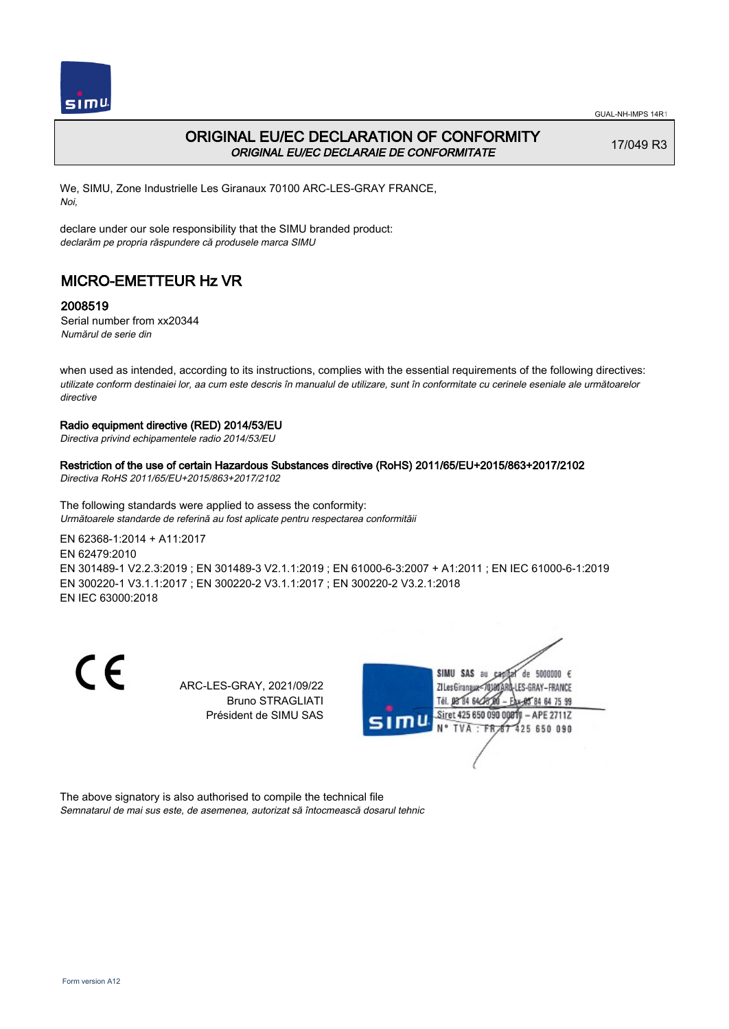

## ORIGINAL EU/EC DECLARATION OF CONFORMITY ORIGINAL EU/EC DECLARAIE DE CONFORMITATE

17/049 R3

We, SIMU, Zone Industrielle Les Giranaux 70100 ARC-LES-GRAY FRANCE, Noi,

declare under our sole responsibility that the SIMU branded product: declarăm pe propria răspundere că produsele marca SIMU

# MICRO-EMETTEUR Hz VR

### 2008519

Serial number from xx20344 Numărul de serie din

when used as intended, according to its instructions, complies with the essential requirements of the following directives: utilizate conform destinaiei lor, aa cum este descris în manualul de utilizare, sunt în conformitate cu cerinele eseniale ale următoarelor directive

#### Radio equipment directive (RED) 2014/53/EU

Directiva privind echipamentele radio 2014/53/EU

### Restriction of the use of certain Hazardous Substances directive (RoHS) 2011/65/EU+2015/863+2017/2102

Directiva RoHS 2011/65/EU+2015/863+2017/2102

The following standards were applied to assess the conformity: Următoarele standarde de referină au fost aplicate pentru respectarea conformităii

EN 62368‑1:2014 + A11:2017 EN 62479:2010 EN 301489‑1 V2.2.3:2019 ; EN 301489‑3 V2.1.1:2019 ; EN 61000‑6‑3:2007 + A1:2011 ; EN IEC 61000‑6‑1:2019 EN 300220‑1 V3.1.1:2017 ; EN 300220‑2 V3.1.1:2017 ; EN 300220‑2 V3.2.1:2018

EN IEC 63000:2018

CE

ARC-LES-GRAY, 2021/09/22 Bruno STRAGLIATI Président de SIMU SAS



The above signatory is also authorised to compile the technical file Semnatarul de mai sus este, de asemenea, autorizat să întocmească dosarul tehnic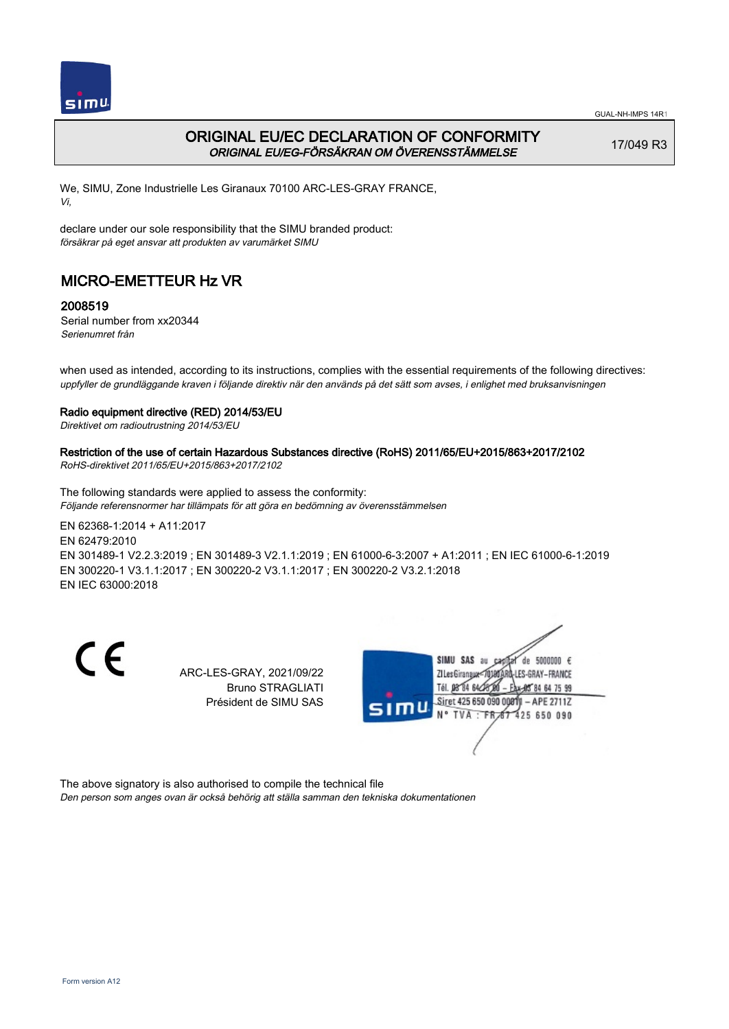

## ORIGINAL EU/EC DECLARATION OF CONFORMITY ORIGINAL EU/EG-FÖRSÄKRAN OM ÖVERENSSTÄMMELSE

17/049 R3

We, SIMU, Zone Industrielle Les Giranaux 70100 ARC-LES-GRAY FRANCE, Vi,

declare under our sole responsibility that the SIMU branded product: försäkrar på eget ansvar att produkten av varumärket SIMU

# MICRO-EMETTEUR Hz VR

### 2008519

Serial number from xx20344 Serienumret från

when used as intended, according to its instructions, complies with the essential requirements of the following directives: uppfyller de grundläggande kraven i följande direktiv när den används på det sätt som avses, i enlighet med bruksanvisningen

#### Radio equipment directive (RED) 2014/53/EU

Direktivet om radioutrustning 2014/53/EU

## Restriction of the use of certain Hazardous Substances directive (RoHS) 2011/65/EU+2015/863+2017/2102

RoHS-direktivet 2011/65/EU+2015/863+2017/2102

The following standards were applied to assess the conformity: Följande referensnormer har tillämpats för att göra en bedömning av överensstämmelsen

EN 62368‑1:2014 + A11:2017 EN 62479:2010 EN 301489‑1 V2.2.3:2019 ; EN 301489‑3 V2.1.1:2019 ; EN 61000‑6‑3:2007 + A1:2011 ; EN IEC 61000‑6‑1:2019 EN 300220‑1 V3.1.1:2017 ; EN 300220‑2 V3.1.1:2017 ; EN 300220‑2 V3.2.1:2018 EN IEC 63000:2018

C E

ARC-LES-GRAY, 2021/09/22 Bruno STRAGLIATI Président de SIMU SAS



The above signatory is also authorised to compile the technical file

Den person som anges ovan är också behörig att ställa samman den tekniska dokumentationen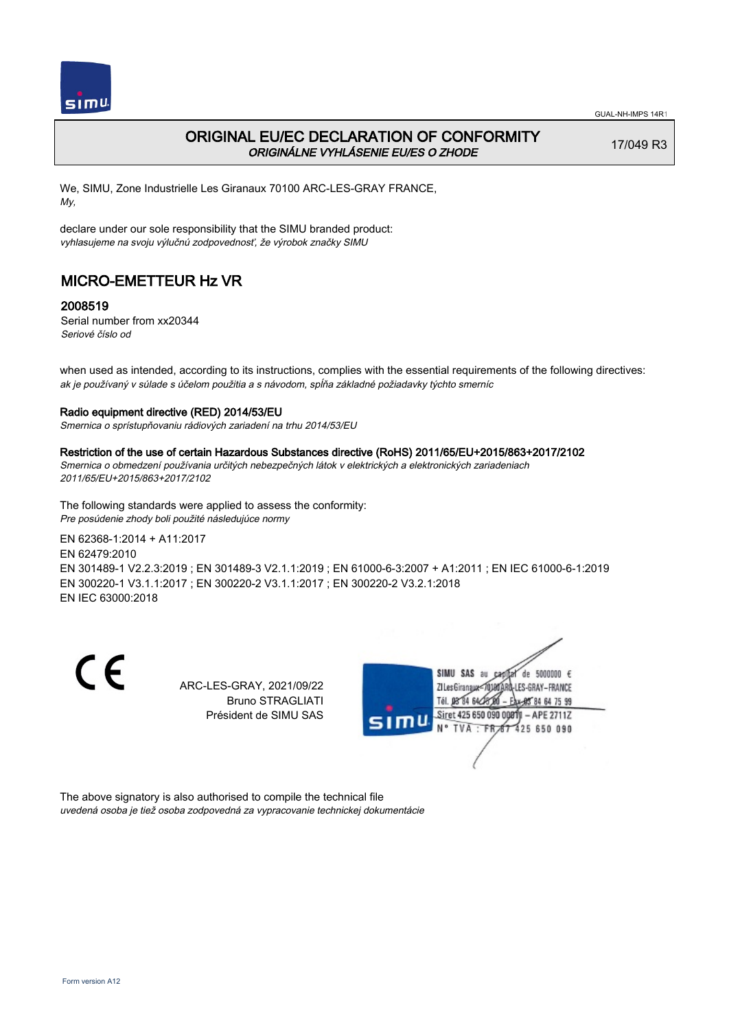

## ORIGINAL EU/EC DECLARATION OF CONFORMITY ORIGINÁLNE VYHLÁSENIE EU/ES O ZHODE

17/049 R3

We, SIMU, Zone Industrielle Les Giranaux 70100 ARC-LES-GRAY FRANCE, My,

declare under our sole responsibility that the SIMU branded product: vyhlasujeme na svoju výlučnú zodpovednosť, že výrobok značky SIMU

# MICRO-EMETTEUR Hz VR

### 2008519

Serial number from xx20344 Seriové číslo od

when used as intended, according to its instructions, complies with the essential requirements of the following directives: ak je používaný v súlade s účelom použitia a s návodom, spĺňa základné požiadavky týchto smerníc

#### Radio equipment directive (RED) 2014/53/EU

Smernica o sprístupňovaniu rádiových zariadení na trhu 2014/53/EU

#### Restriction of the use of certain Hazardous Substances directive (RoHS) 2011/65/EU+2015/863+2017/2102

Smernica o obmedzení používania určitých nebezpečných látok v elektrických a elektronických zariadeniach 2011/65/EU+2015/863+2017/2102

The following standards were applied to assess the conformity: Pre posúdenie zhody boli použité následujúce normy

EN 62368‑1:2014 + A11:2017

EN 62479:2010

EN 301489‑1 V2.2.3:2019 ; EN 301489‑3 V2.1.1:2019 ; EN 61000‑6‑3:2007 + A1:2011 ; EN IEC 61000‑6‑1:2019 EN 300220‑1 V3.1.1:2017 ; EN 300220‑2 V3.1.1:2017 ; EN 300220‑2 V3.2.1:2018 EN IEC 63000:2018

 $\epsilon$ 

ARC-LES-GRAY, 2021/09/22 Bruno STRAGLIATI Président de SIMU SAS



The above signatory is also authorised to compile the technical file uvedená osoba je tiež osoba zodpovedná za vypracovanie technickej dokumentácie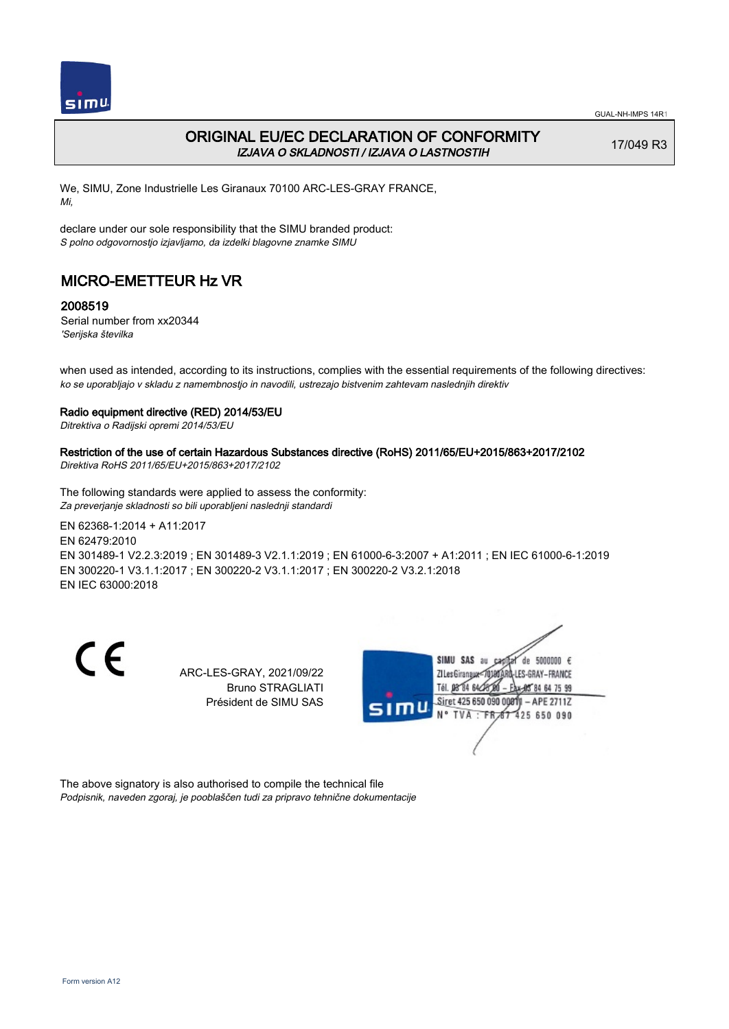

## ORIGINAL EU/EC DECLARATION OF CONFORMITY IZJAVA O SKLADNOSTI / IZJAVA O LASTNOSTIH

17/049 R3

We, SIMU, Zone Industrielle Les Giranaux 70100 ARC-LES-GRAY FRANCE, Mi,

declare under our sole responsibility that the SIMU branded product: S polno odgovornostjo izjavljamo, da izdelki blagovne znamke SIMU

# MICRO-EMETTEUR Hz VR

### 2008519

Serial number from xx20344 'Serijska številka

when used as intended, according to its instructions, complies with the essential requirements of the following directives: ko se uporabljajo v skladu z namembnostjo in navodili, ustrezajo bistvenim zahtevam naslednjih direktiv

#### Radio equipment directive (RED) 2014/53/EU

Ditrektiva o Radijski opremi 2014/53/EU

## Restriction of the use of certain Hazardous Substances directive (RoHS) 2011/65/EU+2015/863+2017/2102

Direktiva RoHS 2011/65/EU+2015/863+2017/2102

The following standards were applied to assess the conformity: Za preverjanje skladnosti so bili uporabljeni naslednji standardi

EN 62368‑1:2014 + A11:2017 EN 62479:2010 EN 301489‑1 V2.2.3:2019 ; EN 301489‑3 V2.1.1:2019 ; EN 61000‑6‑3:2007 + A1:2011 ; EN IEC 61000‑6‑1:2019 EN 300220‑1 V3.1.1:2017 ; EN 300220‑2 V3.1.1:2017 ; EN 300220‑2 V3.2.1:2018 EN IEC 63000:2018

C E

ARC-LES-GRAY, 2021/09/22 Bruno STRAGLIATI Président de SIMU SAS



The above signatory is also authorised to compile the technical file Podpisnik, naveden zgoraj, je pooblaščen tudi za pripravo tehnične dokumentacije